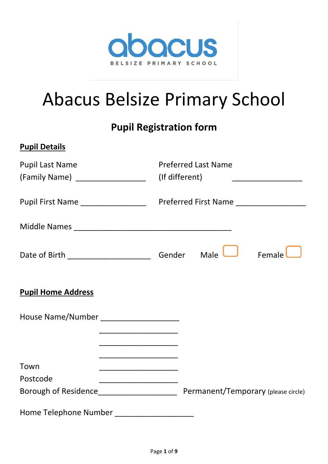

# Abacus Belsize Primary School

# **Pupil Registration form**

| <b>Pupil Details</b>                      |                            |                              |
|-------------------------------------------|----------------------------|------------------------------|
| <b>Pupil Last Name</b>                    | <b>Preferred Last Name</b> |                              |
| (Family Name) ____________________        | (If different)             | ____________________________ |
|                                           |                            |                              |
|                                           |                            |                              |
|                                           | Male                       | Female                       |
| <b>Pupil Home Address</b>                 |                            |                              |
| House Name/Number _______________________ |                            |                              |
|                                           |                            |                              |
| Town                                      |                            |                              |
| Postcode                                  |                            |                              |
|                                           |                            |                              |
| Home Telephone Number                     |                            |                              |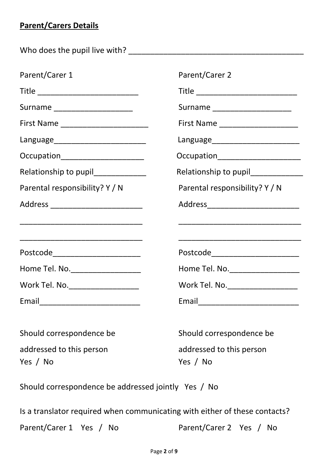# **Parent/Carers Details**

Who does the pupil live with? \_\_\_\_\_\_\_\_\_\_\_\_\_\_\_\_\_\_\_\_\_\_\_\_\_\_\_\_\_\_\_\_\_\_\_\_\_\_\_\_

| Parent/Carer 1                                                                                                       | Parent/Carer 2                           |
|----------------------------------------------------------------------------------------------------------------------|------------------------------------------|
| Title _______________________________                                                                                | Title __________________________________ |
| Surname _______________________                                                                                      | Surname ______________________           |
|                                                                                                                      | First Name _______________________       |
|                                                                                                                      |                                          |
| Occupation_______________________                                                                                    | Occupation_____________________          |
| Relationship to pupil______________                                                                                  | Relationship to pupil_____________       |
| Parental responsibility? Y / N                                                                                       | Parental responsibility? Y / N           |
| Address ____________________________                                                                                 | Address____________________________      |
| <u> 1989 - Johann John Harry Harry Harry Harry Harry Harry Harry Harry Harry Harry Harry Harry Harry Harry Harry</u> |                                          |
| Postcode_________________________                                                                                    | Postcode________________________         |
| Home Tel. No. __________________                                                                                     | Home Tel. No. ____________________       |
| Work Tel. No. ___________________                                                                                    | Work Tel. No. ____________________       |
|                                                                                                                      |                                          |

| Should correspondence be |  |  |  |
|--------------------------|--|--|--|
| addressed to this person |  |  |  |
| Yes / No                 |  |  |  |

Should correspondence be addressed to this person Yes / No

Should correspondence be addressed jointly Yes / No

Is a translator required when communicating with either of these contacts? Parent/Carer 1 Yes / No Parent/Carer 2 Yes / No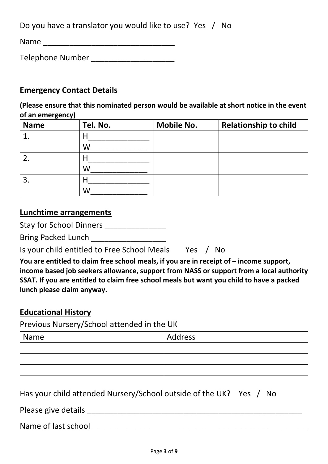Do you have a translator you would like to use? Yes / No

Name \_\_\_\_\_\_\_\_\_\_\_\_\_\_\_\_\_\_\_\_\_\_\_\_\_\_\_\_\_\_

Telephone Number **Telephone** Number

### **Emergency Contact Details**

**(Please ensure that this nominated person would be available at short notice in the event of an emergency)** 

| <b>Name</b> | Tel. No. | <b>Mobile No.</b> | <b>Relationship to child</b> |
|-------------|----------|-------------------|------------------------------|
|             |          |                   |                              |
|             | W        |                   |                              |
|             |          |                   |                              |
|             | W        |                   |                              |
| 3.          |          |                   |                              |
|             | W        |                   |                              |

#### **Lunchtime arrangements**

Stay for School Dinners

Bring Packed Lunch \_\_\_\_\_\_\_\_\_\_\_\_\_\_\_\_\_

Is your child entitled to Free School Meals Yes / No

You are entitled to claim free school meals, if you are in receipt of  $-$  income support, **income based job seekers allowance, support from NASS or support from a local authority SSAT. If you are entitled to claim free school meals but want you child to have a packed lunch please claim anyway.** 

#### **Educational History**

Previous Nursery/School attended in the UK

| Name | Address |
|------|---------|
|      |         |
|      |         |
|      |         |

Has your child attended Nursery/School outside of the UK? Yes / No

Please give details \_\_\_\_\_\_\_\_\_\_\_\_\_\_\_\_\_\_\_\_\_\_\_\_\_\_\_\_\_\_\_\_\_\_\_\_\_\_\_\_\_\_\_\_\_\_\_\_\_

Name of last school and the state of last school and the state of last school and the state of the state of the state of the state of the state of the state of the state of the state of the state of the state of the state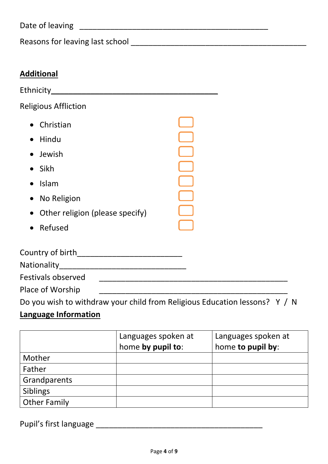Date of leaving \_\_\_\_\_\_\_\_\_\_\_\_\_\_\_\_\_\_\_\_\_\_\_\_\_\_\_\_\_\_\_\_\_\_\_\_\_\_\_\_\_\_\_

Reasons for leaving last school entitled and the control of the control of the control of the control of the control of the control of the control of the control of the control of the control of the control of the control

| <b>Additional</b>               |  |
|---------------------------------|--|
| Ethnicity_______                |  |
| <b>Religious Affliction</b>     |  |
| • Christian                     |  |
| Hindu                           |  |
| • Jewish                        |  |
| Sikh                            |  |
| Islam                           |  |
| No Religion                     |  |
| Other religion (please specify) |  |
| Refused                         |  |
| Country of birth<br>Nationality |  |
|                                 |  |

Festivals observed \_\_\_\_\_\_\_\_\_\_\_\_\_\_\_\_\_\_\_\_\_\_\_\_\_\_\_\_\_\_\_\_\_\_\_\_\_\_\_\_\_\_\_ Place of Worship \_\_\_\_\_\_\_\_\_\_\_\_\_\_\_\_\_\_\_\_\_\_\_\_\_\_\_\_\_\_\_\_\_\_\_\_\_\_\_\_\_\_\_

Do you wish to withdraw your child from Religious Education lessons? Y / N **Language Information**

|                     | Languages spoken at | Languages spoken at |
|---------------------|---------------------|---------------------|
|                     | home by pupil to:   | home to pupil by:   |
| Mother              |                     |                     |
| Father              |                     |                     |
| Grandparents        |                     |                     |
| <b>Siblings</b>     |                     |                     |
| <b>Other Family</b> |                     |                     |

Pupil's first language \_\_\_\_\_\_\_\_\_\_\_\_\_\_\_\_\_\_\_\_\_\_\_\_\_\_\_\_\_\_\_\_\_\_\_\_\_\_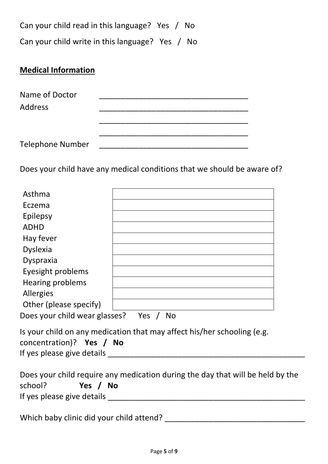Can your child read in this language? Yes / No Can your child write in this language? Yes / No

# **Medical Information**

| Name of Doctor          |  |  |  |
|-------------------------|--|--|--|
| <b>Address</b>          |  |  |  |
|                         |  |  |  |
|                         |  |  |  |
| <b>Telephone Number</b> |  |  |  |

Does your child have any medical conditions that we should be aware of?

| Asthma                                     |                                                                                                      |  |  |
|--------------------------------------------|------------------------------------------------------------------------------------------------------|--|--|
| Eczema                                     |                                                                                                      |  |  |
| Epilepsy                                   |                                                                                                      |  |  |
| <b>ADHD</b>                                |                                                                                                      |  |  |
| Hay fever                                  |                                                                                                      |  |  |
| <b>Dyslexia</b>                            |                                                                                                      |  |  |
| Dyspraxia                                  |                                                                                                      |  |  |
| Eyesight problems                          |                                                                                                      |  |  |
| <b>Hearing problems</b>                    |                                                                                                      |  |  |
| Allergies                                  |                                                                                                      |  |  |
| Other (please specify)                     |                                                                                                      |  |  |
| Does your child wear glasses? Yes /<br>No. |                                                                                                      |  |  |
|                                            | ta a constantin a compositor de la contrata de la componentat de la construction de la constantin de |  |  |

|                            | Is your child on any medication that may affect his/her schooling (e.g. |
|----------------------------|-------------------------------------------------------------------------|
| concentration)? Yes / No   |                                                                         |
| If yes please give details |                                                                         |

|                            |          |  | Does your child require any medication during the day that will be held by the |
|----------------------------|----------|--|--------------------------------------------------------------------------------|
| school?                    | Yes / No |  |                                                                                |
| If yes please give details |          |  |                                                                                |

Which baby clinic did your child attend? \_\_\_\_\_\_\_\_\_\_\_\_\_\_\_\_\_\_\_\_\_\_\_\_\_\_\_\_\_\_\_\_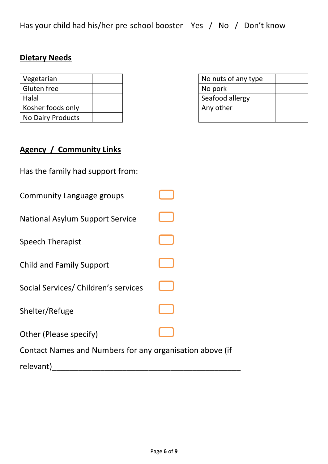Has your child had his/her pre-school booster Yes / No / Don't know

# **Dietary Needs**

| Vegetarian         | No nuts of any type |
|--------------------|---------------------|
| <b>Gluten free</b> | No pork             |
| Halal              | Seafood allergy     |
| Kosher foods only  | Any other           |
| No Dairy Products  |                     |

| No nuts of any type |  |
|---------------------|--|
| No pork             |  |
| Seafood allergy     |  |
| Any other           |  |
|                     |  |

# **Agency / Community Links**

| Has the family had support from:                         |  |
|----------------------------------------------------------|--|
| Community Language groups                                |  |
| <b>National Asylum Support Service</b>                   |  |
| <b>Speech Therapist</b>                                  |  |
| <b>Child and Family Support</b>                          |  |
| Social Services/ Children's services                     |  |
| Shelter/Refuge                                           |  |
| Other (Please specify)                                   |  |
| Contact Names and Numbers for any organisation above (if |  |
| relevant)                                                |  |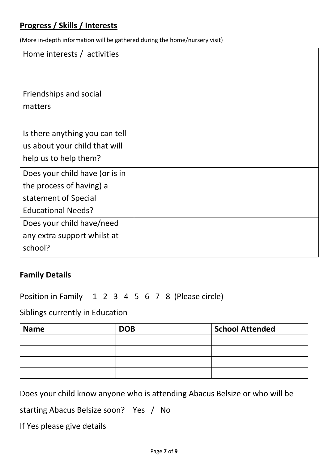# **Progress / Skills / Interests**

(More in-depth information will be gathered during the home/nursery visit)

| Home interests / activities    |  |
|--------------------------------|--|
|                                |  |
| Friendships and social         |  |
| matters                        |  |
|                                |  |
| Is there anything you can tell |  |
| us about your child that will  |  |
| help us to help them?          |  |
| Does your child have (or is in |  |
| the process of having) a       |  |
| statement of Special           |  |
| <b>Educational Needs?</b>      |  |
| Does your child have/need      |  |
| any extra support whilst at    |  |
| school?                        |  |
|                                |  |

#### **Family Details**

Position in Family 1 2 3 4 5 6 7 8 (Please circle)

Siblings currently in Education

| <b>Name</b> | <b>DOB</b> | <b>School Attended</b> |
|-------------|------------|------------------------|
|             |            |                        |
|             |            |                        |
|             |            |                        |
|             |            |                        |

Does your child know anyone who is attending Abacus Belsize or who will be

starting Abacus Belsize soon? Yes / No

If Yes please give details \_\_\_\_\_\_\_\_\_\_\_\_\_\_\_\_\_\_\_\_\_\_\_\_\_\_\_\_\_\_\_\_\_\_\_\_\_\_\_\_\_\_\_